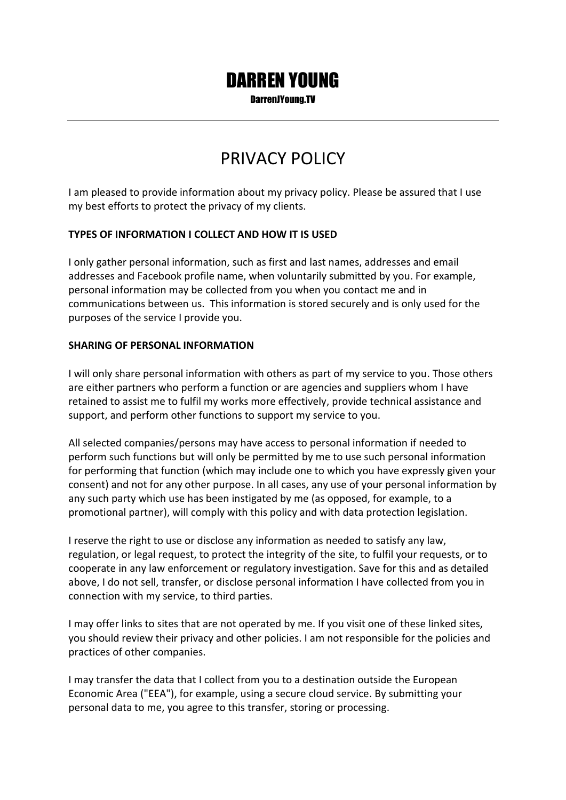# DARREN YOUNG

DarrenJYoung.TV

## PRIVACY POLICY

I am pleased to provide information about my privacy policy. Please be assured that I use my best efforts to protect the privacy of my clients.

### **TYPES OF INFORMATION I COLLECT AND HOW IT IS USED**

I only gather personal information, such as first and last names, addresses and email addresses and Facebook profile name, when voluntarily submitted by you. For example, personal information may be collected from you when you contact me and in communications between us. This information is stored securely and is only used for the purposes of the service I provide you.

#### **SHARING OF PERSONAL INFORMATION**

I will only share personal information with others as part of my service to you. Those others are either partners who perform a function or are agencies and suppliers whom I have retained to assist me to fulfil my works more effectively, provide technical assistance and support, and perform other functions to support my service to you.

All selected companies/persons may have access to personal information if needed to perform such functions but will only be permitted by me to use such personal information for performing that function (which may include one to which you have expressly given your consent) and not for any other purpose. In all cases, any use of your personal information by any such party which use has been instigated by me (as opposed, for example, to a promotional partner), will comply with this policy and with data protection legislation.

I reserve the right to use or disclose any information as needed to satisfy any law, regulation, or legal request, to protect the integrity of the site, to fulfil your requests, or to cooperate in any law enforcement or regulatory investigation. Save for this and as detailed above, I do not sell, transfer, or disclose personal information I have collected from you in connection with my service, to third parties.

I may offer links to sites that are not operated by me. If you visit one of these linked sites, you should review their privacy and other policies. I am not responsible for the policies and practices of other companies.

I may transfer the data that I collect from you to a destination outside the European Economic Area ("EEA"), for example, using a secure cloud service. By submitting your personal data to me, you agree to this transfer, storing or processing.